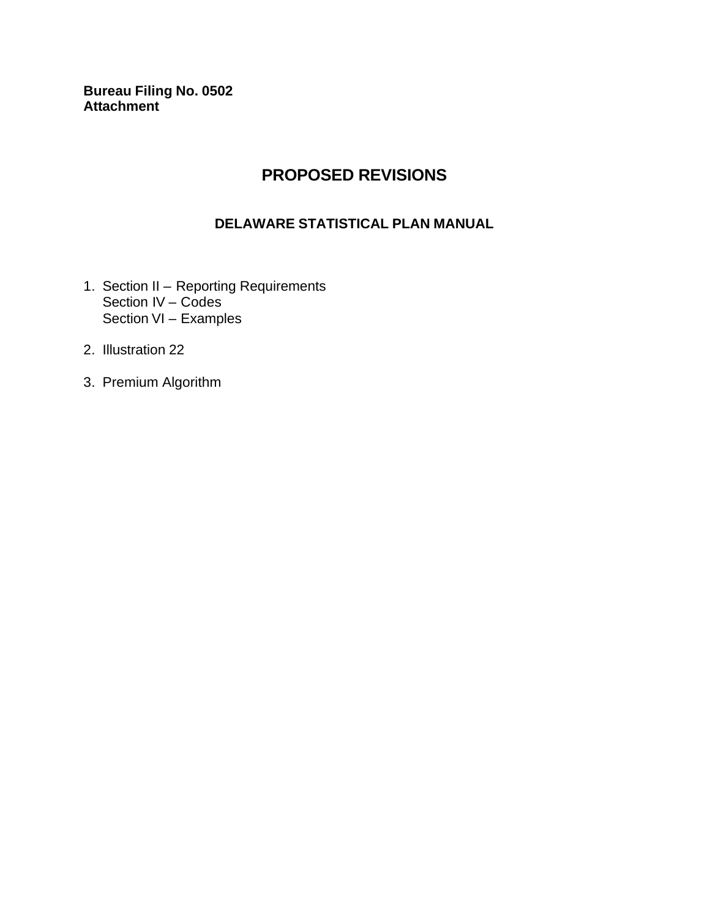**Bureau Filing No. 0502 Attachment** 

### **PROPOSED REVISIONS**

#### **DELAWARE STATISTICAL PLAN MANUAL**

- 1. Section II Reporting Requirements Section IV – Codes Section VI – Examples
- 2. Illustration 22
- 3. Premium Algorithm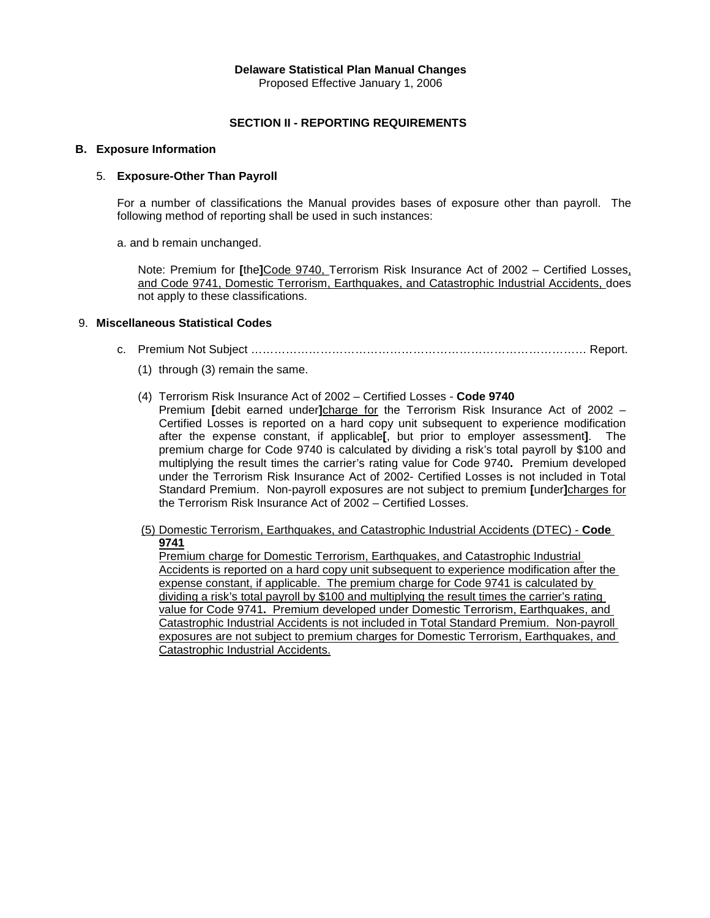#### **Delaware Statistical Plan Manual Changes**

Proposed Effective January 1, 2006

#### **SECTION II - REPORTING REQUIREMENTS**

#### **B. Exposure Information**

#### 5. **Exposure-Other Than Payroll**

For a number of classifications the Manual provides bases of exposure other than payroll. The following method of reporting shall be used in such instances:

a. and b remain unchanged.

 Note: Premium for **[**the**]**Code 9740, Terrorism Risk Insurance Act of 2002 – Certified Losses, and Code 9741, Domestic Terrorism, Earthquakes, and Catastrophic Industrial Accidents, does not apply to these classifications.

#### 9. **Miscellaneous Statistical Codes**

- c. Premium Not Subject …………………………………………………………………………… Report.
	- (1) through (3) remain the same.
	- (4) Terrorism Risk Insurance Act of 2002 Certified Losses **Code 9740**
		- Premium **[**debit earned under**]**charge for the Terrorism Risk Insurance Act of 2002 Certified Losses is reported on a hard copy unit subsequent to experience modification after the expense constant, if applicable**[**, but prior to employer assessment**]**. The premium charge for Code 9740 is calculated by dividing a risk's total payroll by \$100 and multiplying the result times the carrier's rating value for Code 9740**.** Premium developed under the Terrorism Risk Insurance Act of 2002- Certified Losses is not included in Total Standard Premium. Non-payroll exposures are not subject to premium **[**under**]**charges for the Terrorism Risk Insurance Act of 2002 – Certified Losses.
	- (5) Domestic Terrorism, Earthquakes, and Catastrophic Industrial Accidents (DTEC) **Code 9741**

Premium charge for Domestic Terrorism, Earthquakes, and Catastrophic Industrial Accidents is reported on a hard copy unit subsequent to experience modification after the expense constant, if applicable. The premium charge for Code 9741 is calculated by dividing a risk's total payroll by \$100 and multiplying the result times the carrier's rating value for Code 9741**.** Premium developed under Domestic Terrorism, Earthquakes, and Catastrophic Industrial Accidents is not included in Total Standard Premium. Non-payroll exposures are not subject to premium charges for Domestic Terrorism, Earthquakes, and Catastrophic Industrial Accidents.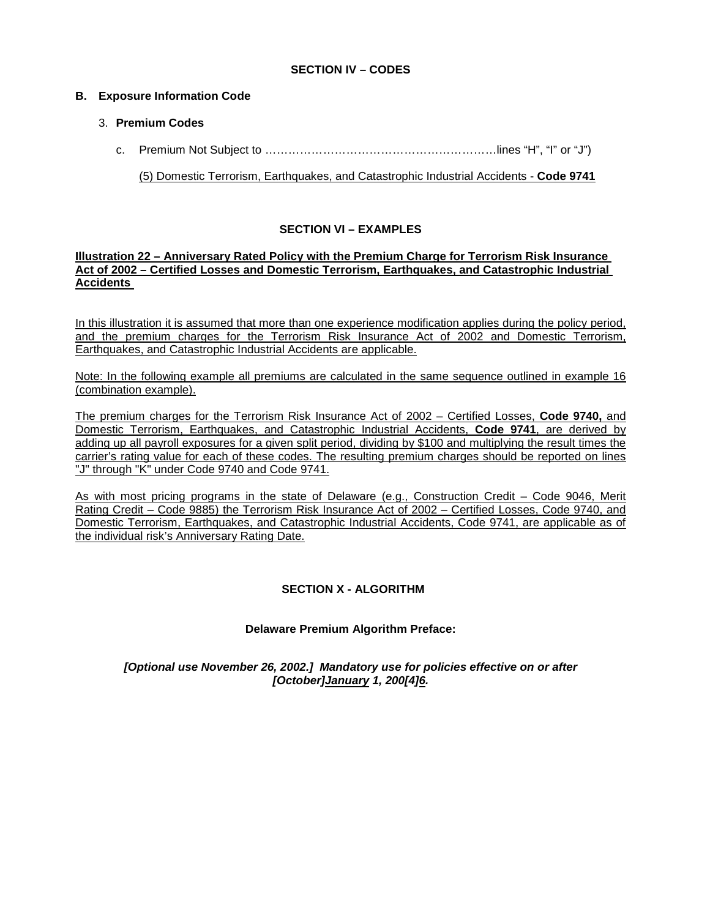#### **SECTION IV – CODES**

#### **B. Exposure Information Code**

#### 3. **Premium Codes**

c.Premium Not Subject to ……………………………………………………lines "H", "I" or "J")

(5) Domestic Terrorism, Earthquakes, and Catastrophic Industrial Accidents - **Code 9741**

#### **SECTION VI – EXAMPLES**

#### **Illustration 22 – Anniversary Rated Policy with the Premium Charge for Terrorism Risk Insurance Act of 2002 – Certified Losses and Domestic Terrorism, Earthquakes, and Catastrophic Industrial Accidents**

In this illustration it is assumed that more than one experience modification applies during the policy period, and the premium charges for the Terrorism Risk Insurance Act of 2002 and Domestic Terrorism, Earthquakes, and Catastrophic Industrial Accidents are applicable.

Note: In the following example all premiums are calculated in the same sequence outlined in example 16 (combination example).

The premium charges for the Terrorism Risk Insurance Act of 2002 – Certified Losses, **Code 9740,** and Domestic Terrorism, Earthquakes, and Catastrophic Industrial Accidents, **Code 9741**, are derived by adding up all payroll exposures for a given split period, dividing by \$100 and multiplying the result times the carrier's rating value for each of these codes. The resulting premium charges should be reported on lines "J" through "K" under Code 9740 and Code 9741.

As with most pricing programs in the state of Delaware (e.g., Construction Credit – Code 9046, Merit Rating Credit – Code 9885) the Terrorism Risk Insurance Act of 2002 – Certified Losses, Code 9740, and Domestic Terrorism, Earthquakes, and Catastrophic Industrial Accidents, Code 9741, are applicable as of the individual risk's Anniversary Rating Date.

#### **SECTION X - ALGORITHM**

#### **Delaware Premium Algorithm Preface:**

*[Optional use November 26, 2002.] Mandatory use for policies effective on or after [October]January 1, 200[4]6.*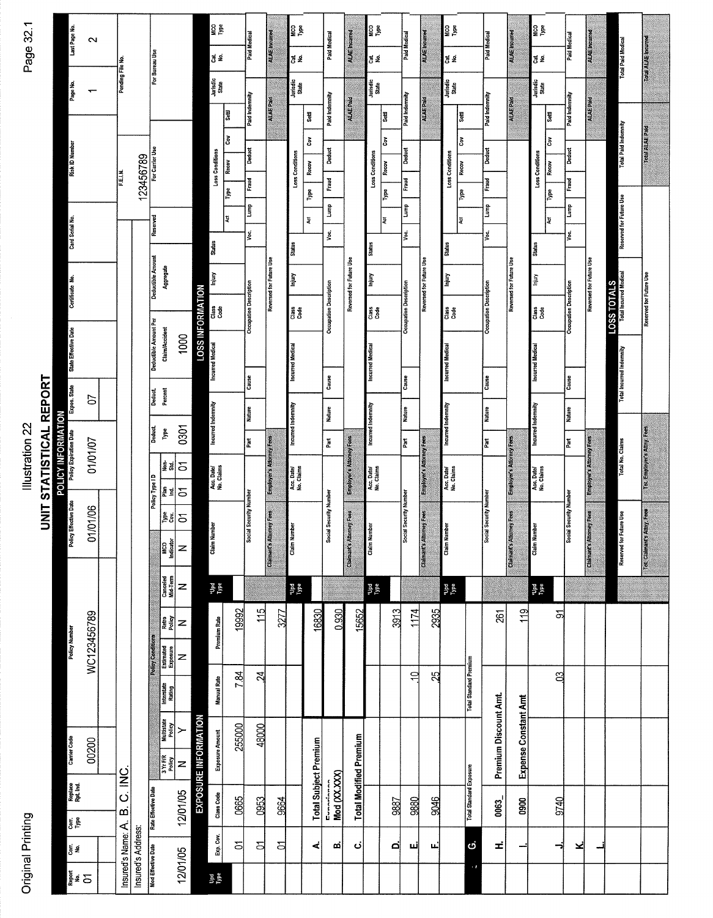| ī      |
|--------|
| z.     |
| j<br>l |
| ٥<br>ι |
| ٦      |
|        |

Last Page No.  $\sim$ 

Page No.  $\leftarrow$ 

### **Risk ID Number** F.E.I.N. Card Serial No. Certificate No. State Effective Date **UNIT STATISTICAL REPORT** Expos. State  $\mathfrak{S}% _{A}^{A}(\theta) \equiv\mathfrak{S}_{A}\left( A;B\right) ,\qquad \mathfrak{S}_{A}^{A}(\theta) \equiv\mathfrak{S}_{A}\left( A;B\right) ,$ POLICY INFORMATION<br>Policy Expiration Date | Exp Illustration 22 01/01/07 **Policy Effective Date** 01/01/06 WC123456789 Policy Number 00200 **Carrier Code**  $\Delta$  R C INC Replace<br>Rpt. Ind.  $\begin{bmatrix}$  Cont. Cort.<br>No. rd'e Neu Report<br>OT<br>OT j,

| Pending File No.              |                    | For Bureau Use                                                |             |                         | g g<br>Le<br>$\overline{5}$ $\overline{2}$<br>Jurisdic<br>State |                                   | Paid Medical                             | ALAE Incurred            | <b>SPR</b><br>경로<br>Jurisdic<br>State           |                                                | Paid Medical                      | <b>ALAE Incurred</b>            | <b>DALG</b><br>Dale<br>đ gi<br>Jurisdic<br>State |                                  | <b>Paid Medical</b>                        | <b>ALAE</b> incurred           | <b>SPE</b><br>OOM<br>đ g<br>Jurisdic<br>State   |                                   | Paid Medical                             | <b>ALAE</b> incurred     | <b>DOM</b><br>$\frac{d}{dz}$<br>Jurisdic<br>State |                             | Paid Medical                             | ALAE Incurred                   | <b>Total Paid Medical</b>             | Total ALAE Incurred        |
|-------------------------------|--------------------|---------------------------------------------------------------|-------------|-------------------------|-----------------------------------------------------------------|-----------------------------------|------------------------------------------|--------------------------|-------------------------------------------------|------------------------------------------------|-----------------------------------|---------------------------------|--------------------------------------------------|----------------------------------|--------------------------------------------|--------------------------------|-------------------------------------------------|-----------------------------------|------------------------------------------|--------------------------|---------------------------------------------------|-----------------------------|------------------------------------------|---------------------------------|---------------------------------------|----------------------------|
| F.E.I.N.                      | 123456789          | For Carrier Use                                               |             |                         | Loss Conditions                                                 | ਝੂ<br>š<br>Recov<br>$\frac{1}{2}$ | Paid Indemnity<br><b>Deduct</b><br>Fraud | ALAE Paid                | Loss Conditions                                 | Settl<br>$\mathbf{\tilde{S}}$<br>Recov<br>Type | Paid Indemnity<br>Deduct<br>Fraud | ALAEPaid                        | Loss Conditions                                  | <br>Setl<br>Čov<br>Recov<br>Type | Paid Indemnity<br>Deduct<br>Fraud          | <b>ALAE Paid</b>               | Loss Conditions                                 | <b>Sett</b><br>š<br>Recov<br>ľype | Paid Indemnity<br><b>Deduct</b><br>Fraud | ALAEPaid                 | Loss Conditions                                   | Settl<br>š<br>Recov<br>Type | Paid Indemnity<br><b>Deduct</b><br>Fraud | <b>ALAE Paid</b>                | <b>Total Paid Indemnity</b>           | <b>Die 34 AL ADOT</b>      |
|                               |                    | Reserved<br>Deductible Amount<br>Aggregate                    |             |                         | <b>Status</b><br>Injury                                         | ų                                 | Lump<br>g                                |                          | <b>Status</b><br>lniury                         | Ã                                              | İ<br>Voc.                         |                                 | Status<br>Injury                                 | Ã                                | Ê<br>yoc.                                  |                                | <b>Status</b><br>lnjury                         | Į                                 | Lump<br>٧o،                              |                          | <b>Status</b><br>Injury                           | ¥                           | <b>Lump</b><br>Voc.                      |                                 | Reserved for Future Use               |                            |
|                               |                    | Deductible Amount Per<br>Claim/Accident                       | 1000        | <b>LOSS INFORMATION</b> | Class<br>Code                                                   |                                   | <b>Occupation Description</b>            | Reversed for Future Use  | រ្មី ទី<br>បឹ                                   |                                                | Occupation Description            | Reversed for Future Use         | Class<br>Code                                    |                                  | <b>Occupation Description</b>              | Reversed for Future Use        | Class<br>Code                                   |                                   | Occupation Description                   | Reversed for Future Use  | Class<br>Code                                     |                             | <b>Occupation Description</b>            | Reversed for Future Use         | LOSS TOTALS<br>Total Incurred Medical | Reserved for Future Use    |
|                               |                    | Percent<br>Deduct.                                            |             |                         | <b>Incurred Medical</b>                                         |                                   | Cause                                    |                          | Incurred Medical                                |                                                | Cause                             |                                 | <b>Incurred Medical</b>                          |                                  | Cause                                      |                                | <b>Incurred Medical</b>                         |                                   | Cause                                    |                          | <b>Incurred Medical</b>                           |                             | Cause                                    |                                 | <b>Total Incurred Indemnity</b>       |                            |
|                               |                    | Deduct.<br>Type<br>$\frac{1}{2}$ and                          | 0301<br>5   |                         | Incurred Indemnity                                              |                                   | Nature<br>Part                           | Employer's Attorney Fees | Incurred Indemnity                              |                                                | Nature<br>Part                    | <b>Employer's Attorney Fees</b> | Incurred Indemnity                               |                                  | <b>Nature</b><br>$\mathbf{P}_{\mathbf{a}}$ | Employer's Attorney Fees       | Incurred Indemnity                              |                                   | Nature<br>Part                           | Employer's Attorney Fees | Incurred Indemnity                                |                             | <b>Nature</b><br>Part                    | Employer's Attorney Fees        | Total No. Claims                      | Tot Employer's Attny, Fees |
|                               |                    | Policy Type I D<br>운회<br>홀회<br>MCO<br>Indicator               | 5<br>5<br>z |                         | Acc. Date/<br>No. Claims<br><b>Claim Number</b>                 |                                   | Social Security Number                   | Claimant's Attorney Fees | Acc. Date/<br>No. Claims<br><b>Claim Number</b> |                                                | Social Security Number            | <b>Claimant's Attorney Fees</b> | Acc. Date/<br>No. Claims<br><b>Claim Number</b>  |                                  | Social Security Number                     | <b>Claimant's Altomey Fees</b> | Acc. Date/<br>No. Claims<br><b>Claim Number</b> |                                   | <b>Social Security Number</b>            | Claimant's Attorney Fees | Acc. Date/<br>No. Claims<br><b>Claim Number</b>   |                             | Social Security Number                   | <b>Claimant's Attorney Fees</b> | Reserved for Future Use               | Tot Claimant's Attny, Fees |
|                               |                    | Canceled<br>Mid-Term                                          | z           |                         | <b>upd</b><br>Iype                                              |                                   |                                          |                          | $_{\rm 100}^{\rm 100}$                          |                                                |                                   |                                 | Type<br>Peper                                    |                                  |                                            |                                | $_{\rm Type}^{\rm 10}$                          |                                   |                                          |                          | adA <sub>L</sub><br>pd <sub>D</sub>               |                             |                                          |                                 |                                       |                            |
|                               |                    | Retro<br>Policy<br>Policy Conditions<br>Estimated<br>Exposure | z<br>z      |                         | Premium Rate                                                    | 19992                             | 115                                      | 3277                     |                                                 | 16830                                          | 0.930                             | 15652                           |                                                  | 3913                             | 1174                                       | 2935                           |                                                 |                                   | 261                                      | 119                      |                                                   | ন্স                         |                                          |                                 |                                       |                            |
|                               |                    | Interstate<br>Rating                                          |             |                         | <b>Manual Rate</b>                                              | 7.84                              | $\mathbb{Z}$                             |                          |                                                 |                                                |                                   |                                 |                                                  |                                  | ₽                                          | 25                             |                                                 | <b>Total Standard Premium</b>     |                                          |                          |                                                   | පි                          |                                          |                                 |                                       |                            |
|                               |                    | <b>Hullistate</b><br>Policy<br>3 Yr EIG<br>2 Miles            | ≻<br>z      | EXPOSURE INFORMATION    | <b>Exposure Amount</b>                                          | 255000                            | 48000                                    |                          |                                                 | <b>Total Subject Premium</b>                   |                                   | <b>Total Modified Premium</b>   |                                                  |                                  |                                            |                                |                                                 |                                   | Premium Discount Amt.                    | Expense Constant Amt     |                                                   |                             |                                          |                                 |                                       |                            |
|                               |                    | Rate Effective Date                                           | 12/01/05    |                         | Class Code                                                      | 0665                              | 0953                                     | 9664                     |                                                 |                                                | Mod (XX.XXX)<br>Evansi            |                                 |                                                  | 9887                             | 9880                                       | 9046                           |                                                 | <b>Total Standard Exposure</b>    | <b>0063</b>                              | 0900                     |                                                   | 9740                        |                                          |                                 |                                       |                            |
| Insured's Name: A. B. C. INC. | Insured's Address: | Mod Effective Date                                            | 12/01/05    |                         | Exp. Cov.<br><b>Bef</b><br>Date                                 | $\overline{5}$                    | <b>P</b>                                 | 5                        |                                                 | 4                                              | m                                 | نۍ                              |                                                  | o                                | نىر                                        | نيا                            |                                                 | $\ddot{\circ}$<br>÷               | £                                        |                          |                                                   | っ                           | ×                                        |                                 |                                       |                            |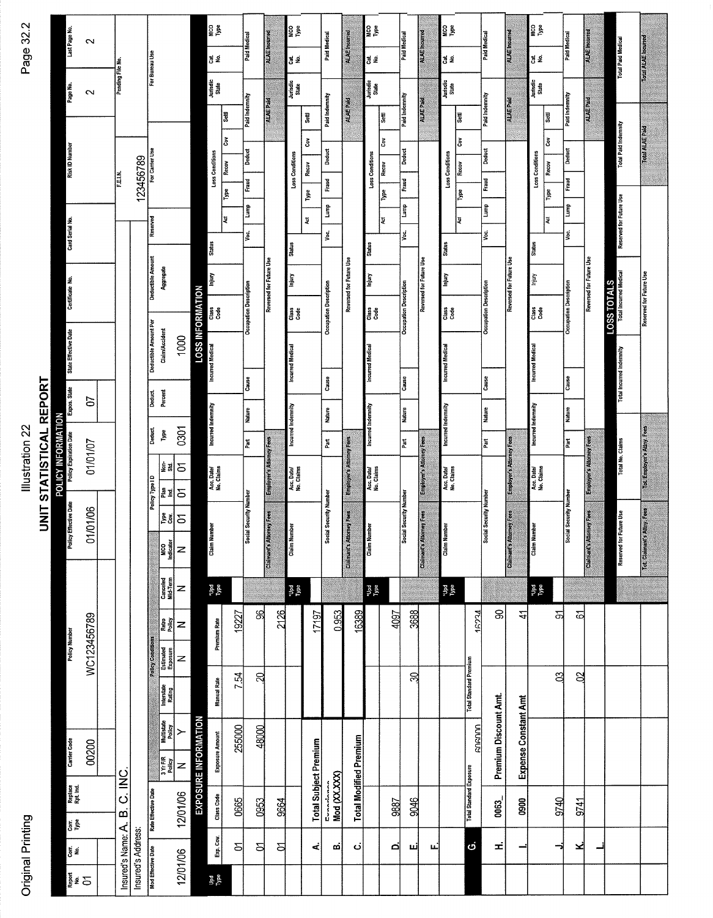# Original Printing

# Illustration 22

| $\sim$ |  |
|--------|--|
| ನ್ನ    |  |
|        |  |
| Page   |  |
|        |  |
|        |  |
|        |  |
|        |  |
|        |  |
|        |  |

| Last Page No.<br>Page No.                    | $\mathbf{\tilde{c}}$<br>$\sim$     | Pending File No.   |                    | For Bureau Use                         |                                                                  |                        |                             | 요.<br>다<br>75 문<br>Jurisdic<br>State           | ≌<br> a<br>Ğ     | Paid Medical<br>Paid Indemnity | ALAE Incurred<br><b>ALAE Paid</b> | <b>S</b><br>Designal<br>Designal<br>Designal<br>Designal<br>Designal<br>Designal<br>Designal<br>Designal<br>Designal<br>Designal<br>Designal<br>Designal<br>Designal<br>Designal<br>Designal<br>Designal<br>Designal<br>Designal<br>Designal<br>Designal<br>Dens I Designal<br>Designal<br>Designal<br>Desi<br>∣경 운<br>Jurisdic<br>State | Settl                        | Paid Medical<br>Paid Indemnity        | ALAE Incured<br><b>ALAE Paid</b> | <b>SPE</b><br>ಕ್ಷ ತ<br>Jurisdic<br>State       | <b>Settl</b>              | Paid Medical<br>Paid Indemnity        | <b>ALAE</b> Incurred<br><b>ALAE Paid</b> | <b>SPE</b><br>đg.<br>Jurisdic<br>State         | ਛੁ                             | <b>Paid Medical</b><br>Paid Indemnity | ALAE Incurred<br>ALAE Paid      |                             | <b>SPE</b><br>Type<br>đg.<br>Jurisdic<br>State<br>ļ₹<br>Čον |         | Paid Medical<br>Paid Indemnity | <b>ALAE Incurred</b><br><b>ALAE Paid</b> | <b>Total Paid Medical</b>                              | Total ALAE Incurred       |
|----------------------------------------------|------------------------------------|--------------------|--------------------|----------------------------------------|------------------------------------------------------------------|------------------------|-----------------------------|------------------------------------------------|------------------|--------------------------------|-----------------------------------|------------------------------------------------------------------------------------------------------------------------------------------------------------------------------------------------------------------------------------------------------------------------------------------------------------------------------------------|------------------------------|---------------------------------------|----------------------------------|------------------------------------------------|---------------------------|---------------------------------------|------------------------------------------|------------------------------------------------|--------------------------------|---------------------------------------|---------------------------------|-----------------------------|-------------------------------------------------------------|---------|--------------------------------|------------------------------------------|--------------------------------------------------------|---------------------------|
| <b>Risk ID Number</b>                        |                                    | FELN               | 123456789          | For Carrier Use<br>Reserved            |                                                                  |                        |                             | Loss Conditions                                | Recov<br>L<br> ¥ | Deduct<br>Fraud<br>Ê           |                                   | Loss Conditions                                                                                                                                                                                                                                                                                                                          | š<br>Recov<br>Type<br>Į      | <b>Deduct</b><br>Fraud<br>È           |                                  | Loss Conditions                                | ČoV<br>Recov<br>Type<br>ų | <b>Deduct</b><br>Fraud<br>aum)        |                                          | Loss Conditions                                | Ğ<br>Recov<br>Type<br>ų        | <b>Deduct</b><br>Fraud<br> <br>È      |                                 |                             | Loss Conditions<br>Recov<br>Type<br>Į                       |         | Deduct<br>Fraud<br>Ì           |                                          | <b>Total Paid Indemnity</b><br>Reserved for Future Use | Total ALAE Paid           |
| Card Serial No.<br>Certificate No.           |                                    |                    |                    | Deductible Amount                      | Aggregate                                                        |                        | <b>LOSS INFORMATION</b>     | <b>Status</b><br><b>Turjury</b><br>das<br>Case |                  | Voc.<br>Occupation Description | Reversed for Future Use           | <b>Status</b><br>ГшЙ<br>is e<br>Case                                                                                                                                                                                                                                                                                                     |                              | yoc.<br><b>Occupation Description</b> | Reversed for Future Use          | Status<br>Injury<br>Class<br>Code              |                           | V٥c.<br><b>Occupation Description</b> | Reversed for Future Use                  | <b>Status</b><br>lnjury<br>das<br>Cate         |                                | yo.<br><b>Occupation Description</b>  | Reversed for Future Use         |                             | <b>Status</b><br>Injury<br>ដឹ<br>Code                       |         | yoc.<br>Occupation Description | Reversed for Future Use                  | <b>Total Incurred Medical</b><br>LOSS TOTALS           | Reserved for Future Use   |
| State Effective Date<br>Expos. State         | 5                                  |                    |                    | Deductible Amount Per<br><b>Deduct</b> | Claim/Accident<br>Percent                                        | 1000                   |                             | <b>Incurred Medical</b>                        |                  | Cause<br>Nature                |                                   | <b>Incurred Medical</b>                                                                                                                                                                                                                                                                                                                  |                              | Cause<br>Nature                       |                                  | <b>Incurred Medical</b>                        |                           | Cause<br><b>Nature</b>                |                                          | <b>Incurred Medical</b>                        |                                | Cause<br><b>Nature</b>                |                                 |                             | <b>Incurred Medical</b>                                     |         | Cause<br>Nature                |                                          | Total Incurred Indemnity                               |                           |
| POLICY INFORMATION<br>Policy Expiration Date | 01/01/07                           |                    |                    | Deduct.<br>Policy Type ID              | Type<br>Non-<br>Std.<br>ᆙᅨ                                       | 0301<br>$\overline{5}$ |                             | Incurred Indemnity<br>Acc. Date/<br>No. Claims |                  | Part                           | Employer's Attorney Fees          | Incurred Indemnity<br>Acc, Date/<br>No. Claims                                                                                                                                                                                                                                                                                           |                              | Part                                  | Employer's Attorney Fees         | Incurred Indemnity<br>Acc. Date/<br>No. Claims |                           | Part                                  | Employer's Attorney Fees                 | Incurred Indemnity<br>Acc. Date/<br>No. Claims |                                | n.                                    | Employer's Attorney Fees        |                             | Incurred Indemnity<br>Acc. Date/<br>No. Claims              |         | hat<br>Pat                     | <b>Employer's Attorney Feet</b>          | Total No. Claims                                       | Tot Employer's Attny Fees |
| <b>Policy Effective Date</b>                 | 01/01/06                           |                    |                    |                                        | ᇕ인<br><b>NEGIST</b><br>The distance<br>Canceled<br>Mid-Term      | z<br>z                 |                             | <b>Claim Number</b><br><b>Type</b>             |                  | <b>Social Security Number</b>  | Claimant's Attorney Fees          | a<br>T<br>Claim Nun<br>$_{\rm Vpc}^{\rm 1pd}$                                                                                                                                                                                                                                                                                            |                              | Social Security Number                | Claimant's Attorney Fees         | <b>Claim Number</b><br>$\frac{1}{2}$           |                           | <b>Social Security Number</b>         | <b>Claimant's Attorney Fees</b>          | <b>Claim Number</b><br>ngell.<br>De            |                                | Social Security Number                | <b>Claimant's Attorney Fees</b> |                             | <b>Claim Number</b><br><b>Type</b>                          |         | <b>Social Security Number</b>  | iney Fees<br>Claimant's Atto             | Reserved for Future Use                                | Tot Claimant's Attny Fees |
| Policy Number                                | WC123456789                        |                    |                    | Policy Conditions                      | Retro<br>Policy<br>Estimated<br>Exposure<br>Interstate<br>Rating | z<br>z                 |                             | Premium Rate<br><b>Manual Rate</b>             | 19227<br>7.54    | ജ<br>ସ୍                        | 2126                              |                                                                                                                                                                                                                                                                                                                                          | 17197                        | 0.953                                 | 16389                            |                                                | 1097                      | 3688<br>R                             |                                          |                                                | <b>Total Standard Premium</b>  | 7634                                  | 8                               | $\ddot{4}$                  |                                                             | ৯<br>පු | ত্ৰ<br>S                       |                                          |                                                        |                           |
| Carrier Code                                 | 00200<br>Replace<br>Rpt. Ind.      | C. INC.            |                    |                                        | Muttistate<br>Policy<br>3 Yr FIR<br>Policy                       | ≻<br>z                 | <b>EXPOSURE INFORMATION</b> | <b>Exposure Amount</b>                         | 255000           | 48000                          |                                   |                                                                                                                                                                                                                                                                                                                                          | <b>Total Subject Premium</b> |                                       | <b>Total Modified Premium</b>    |                                                |                           |                                       |                                          |                                                | <b>Total Standard Exposure</b> | GOGOOO                                | Premium Discount Amt.           | <b>Expense Constant Amt</b> |                                                             |         |                                |                                          |                                                        |                           |
|                                              | 동<br>음                             | $\dot{\mathbf{a}}$ |                    | Rate Effective Date                    |                                                                  | 12/01/06               |                             | <b>Class Code</b>                              | 0665             | 0953                           | <b>9664</b>                       |                                                                                                                                                                                                                                                                                                                                          |                              | Mod (XX.XXX)<br>Evneden               |                                  |                                                | 9887                      | 3046                                  |                                          |                                                |                                |                                       | 0063_                           | 0900                        |                                                             | 9740    | 9741                           |                                          |                                                        |                           |
|                                              | est.<br>S<br><mark>រ</mark> ្គឹ៖ Ξ | Insured's Name: A. | Insured's Address: | Mod Effective Date                     |                                                                  | 12/01/06               |                             | Exp. Cov.<br><b>Upd</b><br>Type                | 5                | <b>S</b>                       | 의                                 |                                                                                                                                                                                                                                                                                                                                          | 4                            | œi                                    | نۍ                               |                                                | ø                         | шј                                    | щ                                        |                                                | $\ddot{\circ}$                 |                                       | Ξ.                              |                             |                                                             | ⊸       | ⊻                              |                                          |                                                        |                           |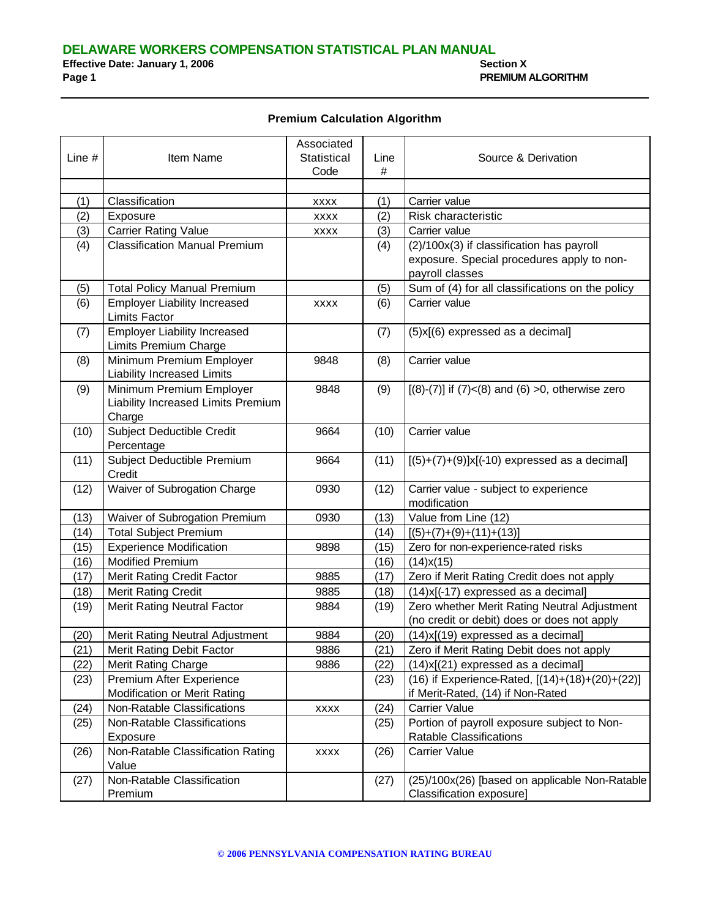**DELAWARE WORKERS COMPENSATION STATISTICAL PLAN MANUAL Effective Date: January 1, 2006 Effective Date: January 1, 2006**<br>Page 1 **Page 1 PREMIUM ALGORITHM**

#### **Premium Calculation Algorithm**

|        |                                      | Associated  |      |                                                           |
|--------|--------------------------------------|-------------|------|-----------------------------------------------------------|
| Line # | Item Name                            | Statistical | Line | Source & Derivation                                       |
|        |                                      | Code        | #    |                                                           |
|        |                                      |             |      |                                                           |
| (1)    | Classification                       | <b>XXXX</b> | (1)  | Carrier value                                             |
| (2)    | Exposure                             | <b>XXXX</b> | (2)  | Risk characteristic                                       |
| (3)    | <b>Carrier Rating Value</b>          | <b>XXXX</b> | (3)  | Carrier value                                             |
| (4)    | <b>Classification Manual Premium</b> |             | (4)  | (2)/100x(3) if classification has payroll                 |
|        |                                      |             |      | exposure. Special procedures apply to non-                |
|        |                                      |             |      | payroll classes                                           |
| (5)    | <b>Total Policy Manual Premium</b>   |             | (5)  | Sum of (4) for all classifications on the policy          |
| (6)    | <b>Employer Liability Increased</b>  | <b>XXXX</b> | (6)  | Carrier value                                             |
|        | <b>Limits Factor</b>                 |             |      |                                                           |
| (7)    | <b>Employer Liability Increased</b>  |             | (7)  | (5)x[(6) expressed as a decimal]                          |
|        | Limits Premium Charge                |             |      |                                                           |
| (8)    | Minimum Premium Employer             | 9848        | (8)  | Carrier value                                             |
|        | <b>Liability Increased Limits</b>    |             |      |                                                           |
| (9)    | Minimum Premium Employer             | 9848        | (9)  | $[(8)-(7)]$ if $(7) < (8)$ and $(6) > 0$ , otherwise zero |
|        | Liability Increased Limits Premium   |             |      |                                                           |
|        | Charge                               |             |      |                                                           |
| (10)   | Subject Deductible Credit            | 9664        | (10) | Carrier value                                             |
|        | Percentage                           |             |      |                                                           |
| (11)   | Subject Deductible Premium           | 9664        | (11) | $[(5)+(7)+(9)]x[(-10)$ expressed as a decimal]            |
|        | Credit                               |             |      |                                                           |
| (12)   | Waiver of Subrogation Charge         | 0930        | (12) | Carrier value - subject to experience                     |
|        |                                      |             |      | modification                                              |
| (13)   | Waiver of Subrogation Premium        | 0930        | (13) | Value from Line (12)                                      |
| (14)   | <b>Total Subject Premium</b>         |             | (14) | $[(5)+(7)+(9)+(11)+(13)]$                                 |
| (15)   | <b>Experience Modification</b>       | 9898        | (15) | Zero for non-experience-rated risks                       |
| (16)   | <b>Modified Premium</b>              |             | (16) | $(14)$ x $(15)$                                           |
| (17)   | Merit Rating Credit Factor           | 9885        | (17) | Zero if Merit Rating Credit does not apply                |
| (18)   | <b>Merit Rating Credit</b>           | 9885        | (18) | (14)x[(-17) expressed as a decimal]                       |
| (19)   | Merit Rating Neutral Factor          | 9884        | (19) | Zero whether Merit Rating Neutral Adjustment              |
|        |                                      |             |      | (no credit or debit) does or does not apply               |
| (20)   | Merit Rating Neutral Adjustment      | 9884        | (20) | (14)x[(19) expressed as a decimal]                        |
| (21)   | Merit Rating Debit Factor            | 9886        | (21) | Zero if Merit Rating Debit does not apply                 |
| (22)   | Merit Rating Charge                  | 9886        | (22) | $(14)x[(21)$ expressed as a decimal]                      |
| (23)   | Premium After Experience             |             | (23) | (16) if Experience-Rated, [(14)+(18)+(20)+(22)]           |
|        | Modification or Merit Rating         |             |      | if Merit-Rated, (14) if Non-Rated                         |
| (24)   | Non-Ratable Classifications          | <b>XXXX</b> | (24) | Carrier Value                                             |
| (25)   | Non-Ratable Classifications          |             | (25) | Portion of payroll exposure subject to Non-               |
|        | Exposure                             |             |      | Ratable Classifications                                   |
| (26)   | Non-Ratable Classification Rating    | <b>XXXX</b> | (26) | Carrier Value                                             |
|        | Value                                |             |      |                                                           |
| (27)   | Non-Ratable Classification           |             | (27) | (25)/100x(26) [based on applicable Non-Ratable            |
|        | Premium                              |             |      | Classification exposure]                                  |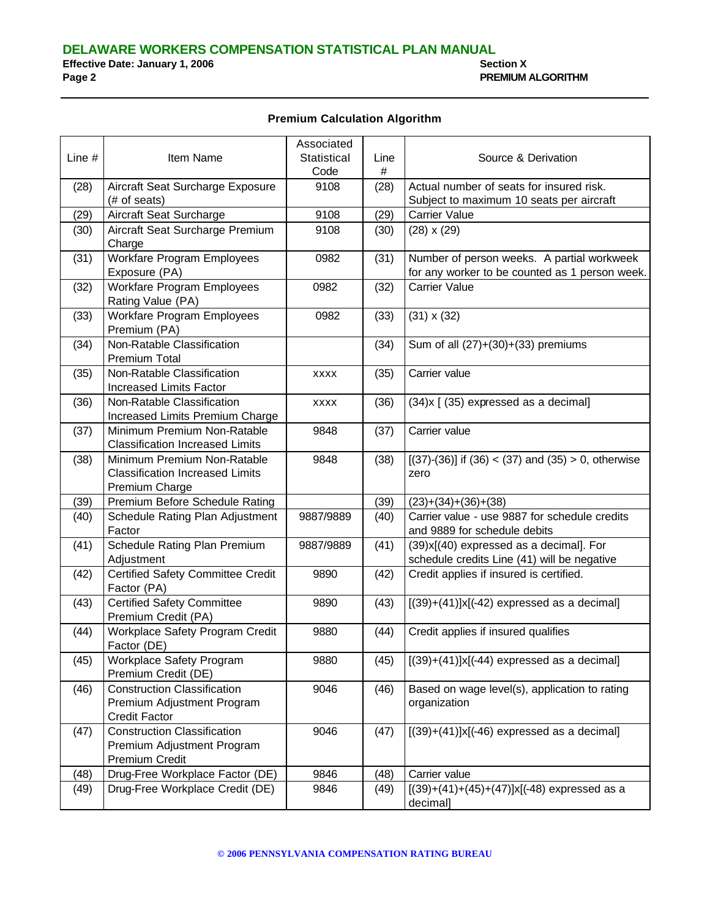#### **Premium Calculation Algorithm**

|          |                                                    | Associated  |      |                                                           |
|----------|----------------------------------------------------|-------------|------|-----------------------------------------------------------|
| Line $#$ | Item Name                                          | Statistical | Line | Source & Derivation                                       |
|          |                                                    | Code        | #    |                                                           |
| (28)     | Aircraft Seat Surcharge Exposure                   | 9108        | (28) | Actual number of seats for insured risk.                  |
|          | (# of seats)                                       |             |      | Subject to maximum 10 seats per aircraft                  |
| (29)     | Aircraft Seat Surcharge                            | 9108        | (29) | Carrier Value                                             |
| (30)     | Aircraft Seat Surcharge Premium                    | 9108        | (30) | $(28) \times (29)$                                        |
|          | Charge                                             |             |      |                                                           |
| (31)     | Workfare Program Employees                         | 0982        | (31) | Number of person weeks. A partial workweek                |
|          | Exposure (PA)                                      |             |      | for any worker to be counted as 1 person week.            |
| (32)     | Workfare Program Employees                         | 0982        | (32) | <b>Carrier Value</b>                                      |
|          | Rating Value (PA)                                  |             |      |                                                           |
| (33)     | Workfare Program Employees                         | 0982        | (33) | $(31) \times (32)$                                        |
|          | Premium (PA)                                       |             |      |                                                           |
| (34)     | Non-Ratable Classification                         |             | (34) | Sum of all $(27)+(30)+(33)$ premiums                      |
|          | <b>Premium Total</b>                               |             |      |                                                           |
| (35)     | Non-Ratable Classification                         | <b>XXXX</b> | (35) | Carrier value                                             |
|          | Increased Limits Factor                            |             |      |                                                           |
| (36)     | Non-Ratable Classification                         | <b>XXXX</b> | (36) | (34) x [ (35) expressed as a decimal]                     |
|          | Increased Limits Premium Charge                    |             |      |                                                           |
| (37)     | Minimum Premium Non-Ratable                        | 9848        | (37) | Carrier value                                             |
|          | <b>Classification Increased Limits</b>             |             |      |                                                           |
| (38)     | Minimum Premium Non-Ratable                        | 9848        | (38) | $[(37)-(36)]$ if $(36) < (37)$ and $(35) > 0$ , otherwise |
|          | <b>Classification Increased Limits</b>             |             |      | zero                                                      |
|          | Premium Charge                                     |             |      |                                                           |
| (39)     | Premium Before Schedule Rating                     |             | (39) | $(23)+(34)+(36)+(38)$                                     |
| (40)     | Schedule Rating Plan Adjustment                    | 9887/9889   | (40) | Carrier value - use 9887 for schedule credits             |
|          | Factor                                             |             |      | and 9889 for schedule debits                              |
| (41)     | Schedule Rating Plan Premium                       | 9887/9889   | (41) | (39)x[(40) expressed as a decimal]. For                   |
|          | Adjustment                                         |             |      | schedule credits Line (41) will be negative               |
| (42)     | Certified Safety Committee Credit                  | 9890        | (42) | Credit applies if insured is certified.                   |
|          | Factor (PA)                                        |             |      |                                                           |
| (43)     | <b>Certified Safety Committee</b>                  | 9890        | (43) | $[(39)+(41)]x[(-42)$ expressed as a decimal]              |
|          | Premium Credit (PA)                                |             |      |                                                           |
| (44)     | Workplace Safety Program Credit                    | 9880        | (44) | Credit applies if insured qualifies                       |
|          | Factor (DE)                                        |             |      |                                                           |
| (45)     | Workplace Safety Program                           | 9880        | (45) | $\sqrt{[(39)+(41)]x[(-44)}$ expressed as a decimal]       |
|          | Premium Credit (DE)                                |             |      |                                                           |
| (46)     | <b>Construction Classification</b>                 | 9046        | (46) | Based on wage level(s), application to rating             |
|          | Premium Adjustment Program<br><b>Credit Factor</b> |             |      | organization                                              |
|          | <b>Construction Classification</b>                 | 9046        |      |                                                           |
| (47)     |                                                    |             | (47) | $[(39)+(41)]x[(-46)$ expressed as a decimal]              |
|          | Premium Adjustment Program<br>Premium Credit       |             |      |                                                           |
| (48)     | Drug-Free Workplace Factor (DE)                    | 9846        | (48) | Carrier value                                             |
| (49)     | Drug-Free Workplace Credit (DE)                    | 9846        | (49) | $[(39)+(41)+(45)+(47)]x[(-48)$ expressed as a             |
|          |                                                    |             |      | decimal]                                                  |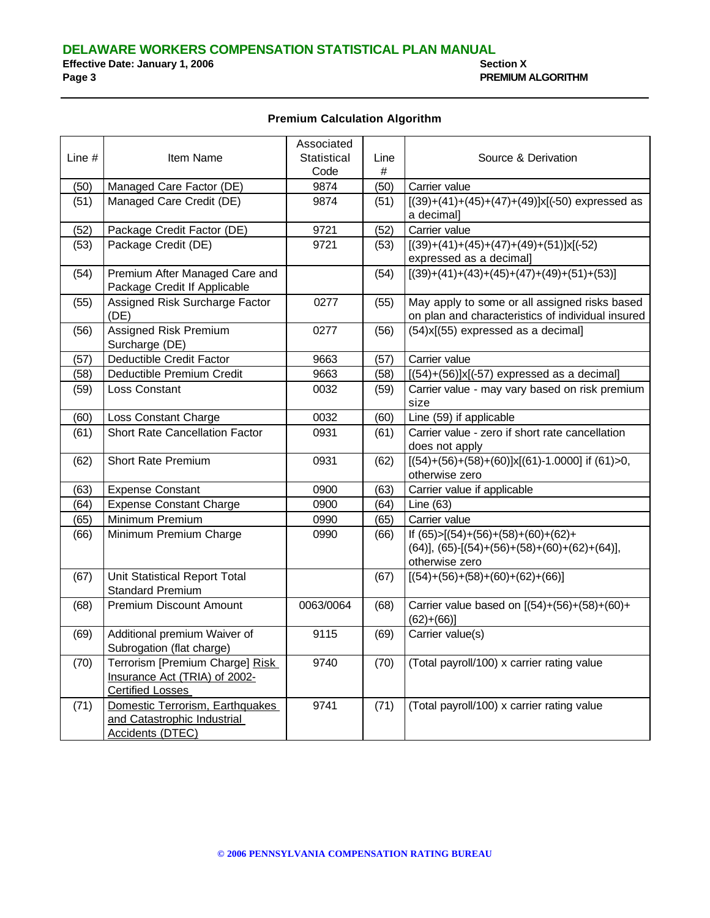#### **Premium Calculation Algorithm**

|          |                                       | Associated  |      |                                                                            |
|----------|---------------------------------------|-------------|------|----------------------------------------------------------------------------|
| Line $#$ | Item Name                             | Statistical | Line | Source & Derivation                                                        |
|          |                                       | Code        | #    |                                                                            |
| (50)     | Managed Care Factor (DE)              | 9874        | (50) | Carrier value                                                              |
| (51)     | Managed Care Credit (DE)              | 9874        | (51) | $[(39)+(41)+(45)+(47)+(49)]x[(-50)$ expressed as                           |
|          |                                       |             |      | a decimal]                                                                 |
| (52)     | Package Credit Factor (DE)            | 9721        | (52) | Carrier value                                                              |
| (53)     | Package Credit (DE)                   | 9721        | (53) | $[(39)+(41)+(45)+(47)+(49)+(51)]x[(-52)$                                   |
|          |                                       |             |      | expressed as a decimal]                                                    |
| (54)     | Premium After Managed Care and        |             | (54) | $[(39)+(41)+(43)+(45)+(47)+(49)+(51)+(53)]$                                |
|          | Package Credit If Applicable          |             |      |                                                                            |
| (55)     | Assigned Risk Surcharge Factor        | 0277        | (55) | May apply to some or all assigned risks based                              |
|          | (DE)                                  |             |      | on plan and characteristics of individual insured                          |
| (56)     | Assigned Risk Premium                 | 0277        | (56) | (54)x[(55) expressed as a decimal]                                         |
|          | Surcharge (DE)                        |             |      |                                                                            |
| (57)     | Deductible Credit Factor              | 9663        | (57) | Carrier value                                                              |
| (58)     | Deductible Premium Credit             | 9663        | (58) | $[(54)+(56)]x[(-57)$ expressed as a decimal]                               |
| (59)     | Loss Constant                         | 0032        | (59) | Carrier value - may vary based on risk premium                             |
|          |                                       |             |      | size                                                                       |
| (60)     | Loss Constant Charge                  | 0032        | (60) | Line (59) if applicable                                                    |
| (61)     | <b>Short Rate Cancellation Factor</b> | 0931        | (61) | Carrier value - zero if short rate cancellation                            |
|          |                                       |             |      | does not apply                                                             |
| (62)     | <b>Short Rate Premium</b>             | 0931        | (62) | $[(54)+(56)+(58)+(60)]x[(61)-1.0000]$ if $(61)=0$ ,                        |
|          |                                       |             |      | otherwise zero                                                             |
| (63)     | <b>Expense Constant</b>               | 0900        | (63) | Carrier value if applicable                                                |
| (64)     | <b>Expense Constant Charge</b>        | 0900        | (64) | Line (63)                                                                  |
| (65)     | Minimum Premium                       | 0990        | (65) | Carrier value                                                              |
| (66)     | Minimum Premium Charge                | 0990        | (66) | If $(65) > [(54)+(56)+(58)+(60)+(62)+$                                     |
|          |                                       |             |      | $(64)$ ], $(65)$ -[ $(54)$ + $(56)$ + $(58)$ + $(60)$ + $(62)$ + $(64)$ ], |
|          |                                       |             |      | otherwise zero                                                             |
| (67)     | Unit Statistical Report Total         |             | (67) | $[(54)+(56)+(58)+(60)+(62)+(66)]$                                          |
|          | <b>Standard Premium</b>               |             |      |                                                                            |
| (68)     | <b>Premium Discount Amount</b>        | 0063/0064   | (68) | Carrier value based on [(54)+(56)+(58)+(60)+                               |
|          |                                       |             |      | $(62)+(66)$                                                                |
| (69)     | Additional premium Waiver of          | 9115        | (69) | Carrier value(s)                                                           |
|          | Subrogation (flat charge)             |             |      |                                                                            |
| (70)     | Terrorism [Premium Charge] Risk       | 9740        | (70) | (Total payroll/100) x carrier rating value                                 |
|          | Insurance Act (TRIA) of 2002-         |             |      |                                                                            |
|          | <b>Certified Losses</b>               |             |      |                                                                            |
| (71)     | Domestic Terrorism, Earthquakes       | 9741        | (71) | (Total payroll/100) x carrier rating value                                 |
|          | and Catastrophic Industrial           |             |      |                                                                            |
|          | <b>Accidents (DTEC)</b>               |             |      |                                                                            |